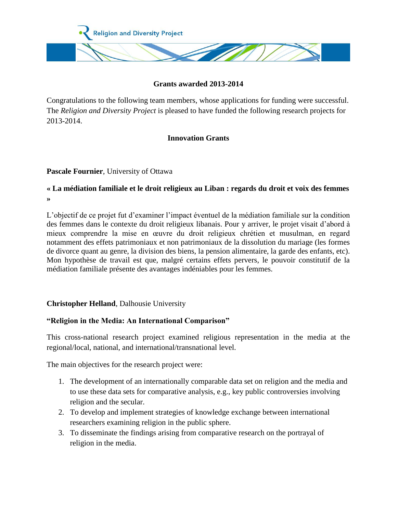

### **Grants awarded 2013-2014**

Congratulations to the following team members, whose applications for funding were successful. The *Religion and Diversity Project* is pleased to have funded the following research projects for 2013-2014.

# **Innovation Grants**

### **Pascale Fournier**, University of Ottawa

## **« La médiation familiale et le droit religieux au Liban : regards du droit et voix des femmes »**

L'objectif de ce projet fut d'examiner l'impact éventuel de la médiation familiale sur la condition des femmes dans le contexte du droit religieux libanais. Pour y arriver, le projet visait d'abord à mieux comprendre la mise en œuvre du droit religieux chrétien et musulman, en regard notamment des effets patrimoniaux et non patrimoniaux de la dissolution du mariage (les formes de divorce quant au genre, la division des biens, la pension alimentaire, la garde des enfants, etc). Mon hypothèse de travail est que, malgré certains effets pervers, le pouvoir constitutif de la médiation familiale présente des avantages indéniables pour les femmes.

### **Christopher Helland**, Dalhousie University

# **"Religion in the Media: An International Comparison"**

This cross-national research project examined religious representation in the media at the regional/local, national, and international/transnational level.

The main objectives for the research project were:

- 1. The development of an internationally comparable data set on religion and the media and to use these data sets for comparative analysis, e.g., key public controversies involving religion and the secular.
- 2. To develop and implement strategies of knowledge exchange between international researchers examining religion in the public sphere.
- 3. To disseminate the findings arising from comparative research on the portrayal of religion in the media.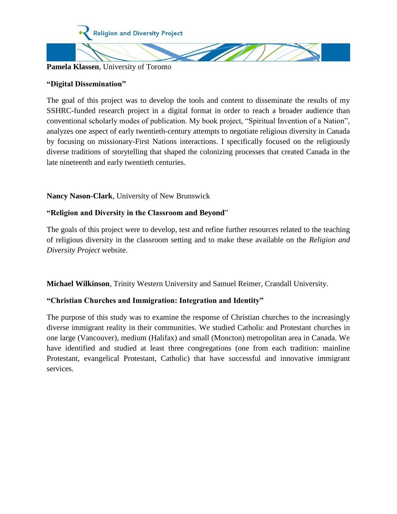

#### **Pamela Klassen**, University of Toronto

### **"Digital Dissemination"**

The goal of this project was to develop the tools and content to disseminate the results of my SSHRC-funded research project in a digital format in order to reach a broader audience than conventional scholarly modes of publication. My book project, "Spiritual Invention of a Nation", analyzes one aspect of early twentieth-century attempts to negotiate religious diversity in Canada by focusing on missionary-First Nations interactions. I specifically focused on the religiously diverse traditions of storytelling that shaped the colonizing processes that created Canada in the late nineteenth and early twentieth centuries.

### **Nancy Nason-Clark**, University of New Brunswick

### **"Religion and Diversity in the Classroom and Beyond**"

The goals of this project were to develop, test and refine further resources related to the teaching of religious diversity in the classroom setting and to make these available on the *Religion and Diversity Project* website.

**Michael Wilkinson**, Trinity Western University and Samuel Reimer, Crandall University.

### **"Christian Churches and Immigration: Integration and Identity"**

The purpose of this study was to examine the response of Christian churches to the increasingly diverse immigrant reality in their communities. We studied Catholic and Protestant churches in one large (Vancouver), medium (Halifax) and small (Moncton) metropolitan area in Canada. We have identified and studied at least three congregations (one from each tradition: mainline Protestant, evangelical Protestant, Catholic) that have successful and innovative immigrant services.